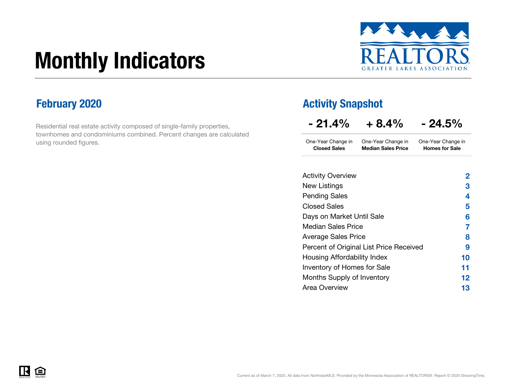# Monthly Indicators



Residential real estate activity composed of single-family properties, townhomes and condominiums combined. Percent changes are calculated using rounded figures.

### February 2020 **Activity Snapshot Activity Snapshot**

 $\overline{\phantom{a}}$ 

| - 21.4%                                   | $+8.4\%$                                        | $-24.5\%$                                   |
|-------------------------------------------|-------------------------------------------------|---------------------------------------------|
| One-Year Change in<br><b>Closed Sales</b> | One-Year Change in<br><b>Median Sales Price</b> | One-Year Change in<br><b>Homes for Sale</b> |
| <b>Activity Overview</b>                  |                                                 | 2                                           |
| Now Lietinge                              |                                                 |                                             |

| 2  |
|----|
| 3  |
| 4  |
| 5  |
| 6  |
| 7  |
| 8  |
| 9  |
| 10 |
| 11 |
| 12 |
| 13 |
|    |

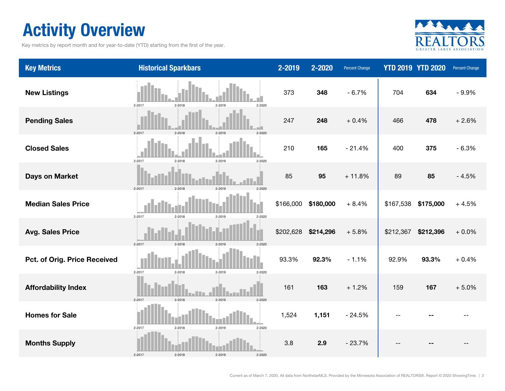### Activity Overview

Key metrics by report month and for year-to-date (YTD) starting from the first of the year.



| <b>Key Metrics</b>           | <b>Historical Sparkbars</b>                  | 2-2019    | 2-2020    | <b>Percent Change</b> |           | <b>YTD 2019 YTD 2020</b> | Percent Change |
|------------------------------|----------------------------------------------|-----------|-----------|-----------------------|-----------|--------------------------|----------------|
| <b>New Listings</b>          | 2-2017<br>2-2018<br>2-2020<br>2-2019         | 373       | 348       | $-6.7%$               | 704       | 634                      | $-9.9%$        |
| <b>Pending Sales</b>         | 2-2017<br>$2 - 2018$<br>2-2019<br>2-2020     | 247       | 248       | $+0.4%$               | 466       | 478                      | $+2.6%$        |
| <b>Closed Sales</b>          | 2-2017<br>2-2018<br>2-2019<br>2-2020         | 210       | 165       | $-21.4%$              | 400       | 375                      | $-6.3%$        |
| <b>Days on Market</b>        | 2-2017<br>$2 - 2018$<br>2-2019<br>2-2020     | 85        | 95        | $+11.8%$              | 89        | 85                       | $-4.5%$        |
| <b>Median Sales Price</b>    | $2 - 2017$<br>$2 - 2018$<br>2-2019<br>2-2020 | \$166,000 | \$180,000 | $+8.4%$               | \$167,538 | \$175,000                | $+4.5%$        |
| <b>Avg. Sales Price</b>      | 2-2017<br>2-2018<br>2-2019<br>2-2020         | \$202,628 | \$214,296 | $+5.8%$               | \$212,367 | \$212,396                | $+0.0%$        |
| Pct. of Orig. Price Received | 2-2017<br>$2 - 2018$<br>2-2019<br>2-2020     | 93.3%     | 92.3%     | $-1.1%$               | 92.9%     | 93.3%                    | $+0.4%$        |
| <b>Affordability Index</b>   | 2-2017<br>$2 - 2018$<br>2-2019<br>$2 - 2020$ | 161       | 163       | $+1.2%$               | 159       | 167                      | $+5.0%$        |
| <b>Homes for Sale</b>        | $2 - 2020$<br>2-2017<br>$2 - 2018$<br>2-2019 | 1,524     | 1,151     | $-24.5%$              |           |                          |                |
| <b>Months Supply</b>         | 2-2017<br>$2 - 2018$<br>2-2019<br>2-2020     | 3.8       | 2.9       | $-23.7%$              |           |                          |                |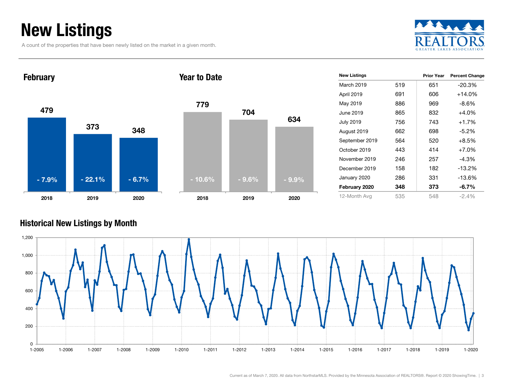### New Listings

A count of the properties that have been newly listed on the market in a given month.





| <b>New Listings</b> |     | <b>Prior Year</b> | <b>Percent Change</b> |
|---------------------|-----|-------------------|-----------------------|
| March 2019          | 519 | 651               | -20.3%                |
| April 2019          | 691 | 606               | $+14.0%$              |
| May 2019            | 886 | 969               | $-8.6%$               |
| June 2019           | 865 | 832               | $+4.0%$               |
| <b>July 2019</b>    | 756 | 743               | $+1.7%$               |
| August 2019         | 662 | 698               | $-5.2%$               |
| September 2019      | 564 | 520               | $+8.5%$               |
| October 2019        | 443 | 414               | $+7.0%$               |
| November 2019       | 246 | 257               | $-4.3%$               |
| December 2019       | 158 | 182               | -13.2%                |
| January 2020        | 286 | 331               | -13.6%                |
| February 2020       | 348 | 373               | $-6.7\%$              |
| 12-Month Avg        | 535 | 548               | $-2.4\%$              |

#### Historical New Listings by Month

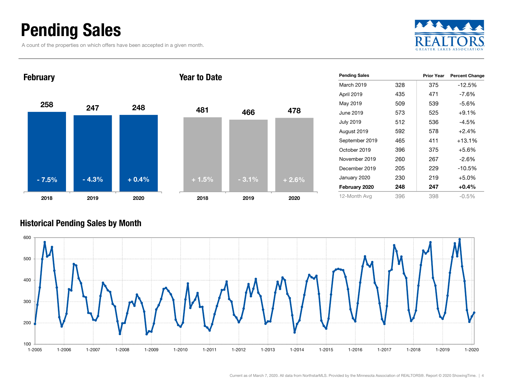### Pending Sales

A count of the properties on which offers have been accepted in a given month.





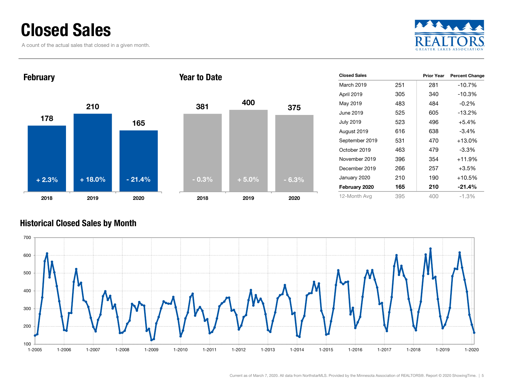### Closed Sales

A count of the actual sales that closed in a given month.





| <b>Closed Sales</b> |     | <b>Prior Year</b> | <b>Percent Change</b> |
|---------------------|-----|-------------------|-----------------------|
| March 2019          | 251 | 281               | $-10.7%$              |
| April 2019          | 305 | 340               | $-10.3%$              |
| May 2019            | 483 | 484               | $-0.2\%$              |
| June 2019           | 525 | 605               | $-13.2%$              |
| <b>July 2019</b>    | 523 | 496               | $+5.4%$               |
| August 2019         | 616 | 638               | $-3.4\%$              |
| September 2019      | 531 | 470               | $+13.0%$              |
| October 2019        | 463 | 479               | $-3.3\%$              |
| November 2019       | 396 | 354               | $+11.9%$              |
| December 2019       | 266 | 257               | $+3.5%$               |
| January 2020        | 210 | 190               | $+10.5%$              |
| February 2020       | 165 | 210               | $-21.4%$              |
| 12-Month Avg        | 395 | 400               | -1.3%                 |

#### Historical Closed Sales by Month

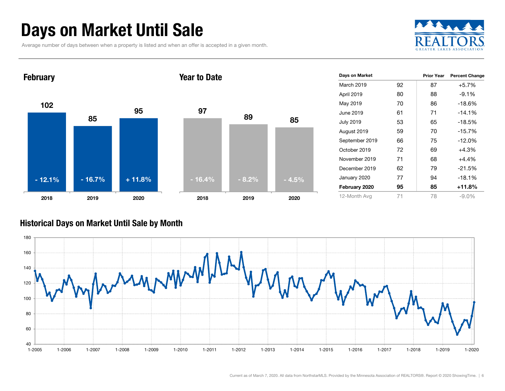### Days on Market Until Sale

Average number of days between when a property is listed and when an offer is accepted in a given month.





#### Historical Days on Market Until Sale by Month

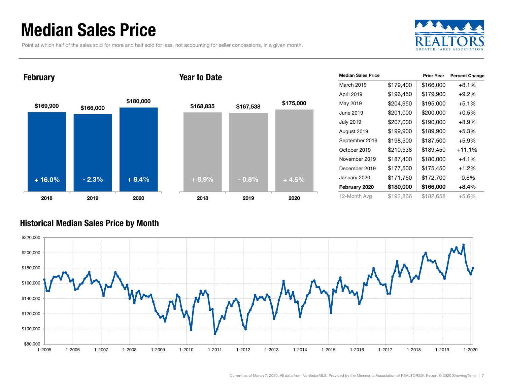### Median Sales Price

Point at which half of the sales sold for more and half sold for less, not accounting for seller concessions, in a given month.



#### February





| <b>Median Sales Price</b> |           | <b>Prior Year</b> | <b>Percent Change</b> |
|---------------------------|-----------|-------------------|-----------------------|
| March 2019                | \$179,400 | \$166,000         | $+8.1%$               |
| April 2019                | \$196,450 | \$179,900         | $+9.2%$               |
| May 2019                  | \$204,950 | \$195,000         | $+5.1%$               |
| June 2019                 | \$201,000 | \$200,000         | $+0.5%$               |
| <b>July 2019</b>          | \$207,000 | \$190,000         | $+8.9%$               |
| August 2019               | \$199,900 | \$189,900         | $+5.3%$               |
| September 2019            | \$198,500 | \$187,500         | $+5.9%$               |
| October 2019              | \$210,538 | \$189,450         | $+11.1%$              |
| November 2019             | \$187,400 | \$180,000         | $+4.1\%$              |
| December 2019             | \$177,500 | \$175,450         | $+1.2%$               |
| January 2020              | \$171,750 | \$172,700         | $-0.6%$               |
| February 2020             | \$180,000 | \$166,000         | $+8.4%$               |
| 12-Month Avg              | \$192,866 | \$182,658         | $+5.6%$               |

#### Historical Median Sales Price by Month

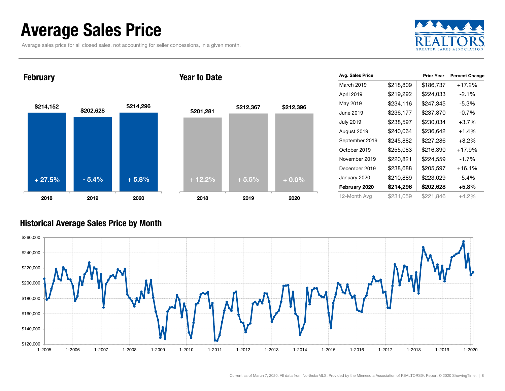### Average Sales Price

Average sales price for all closed sales, not accounting for seller concessions, in a given month.



**February** 





| Avg. Sales Price |           | <b>Prior Year</b> | <b>Percent Change</b> |
|------------------|-----------|-------------------|-----------------------|
| March 2019       | \$218,809 | \$186,737         | $+17.2%$              |
| April 2019       | \$219,292 | \$224,033         | $-2.1\%$              |
| May 2019         | \$234,116 | \$247,345         | $-5.3%$               |
| June 2019        | \$236,177 | \$237,870         | $-0.7%$               |
| <b>July 2019</b> | \$238,597 | \$230,034         | $+3.7%$               |
| August 2019      | \$240,064 | \$236,642         | $+1.4%$               |
| September 2019   | \$245,882 | \$227,286         | $+8.2%$               |
| October 2019     | \$255,083 | \$216,390         | $+17.9%$              |
| November 2019    | \$220,821 | \$224,559         | $-1.7\%$              |
| December 2019    | \$238,688 | \$205,597         | $+16.1%$              |
| January 2020     | \$210,889 | \$223,029         | $-5.4%$               |
| February 2020    | \$214,296 | \$202,628         | $+5.8%$               |
| 12-Month Avg     | \$231,059 | \$221,846         | $+4.2%$               |

#### Historical Average Sales Price by Month

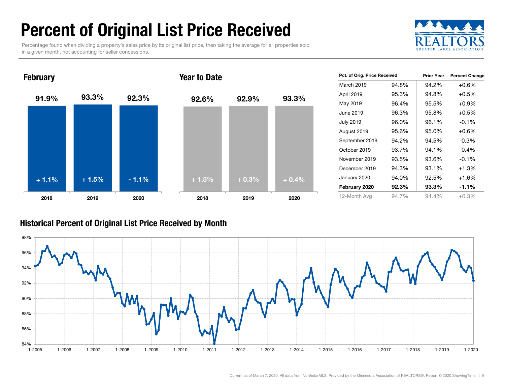### Percent of Original List Price Received

Percentage found when dividing a property's sales price by its original list price, then taking the average for all properties sold in a given month, not accounting for seller concessions.





| Pct. of Orig. Price Received |       | <b>Prior Year</b> | <b>Percent Change</b> |
|------------------------------|-------|-------------------|-----------------------|
| March 2019                   | 94.8% | 94.2%             | $+0.6%$               |
| April 2019                   | 95.3% | 94.8%             | $+0.5%$               |
| May 2019                     | 96.4% | 95.5%             | $+0.9%$               |
| June 2019                    | 96.3% | 95.8%             | $+0.5%$               |
| <b>July 2019</b>             | 96.0% | 96.1%             | $-0.1%$               |
| August 2019                  | 95.6% | 95.0%             | $+0.6\%$              |
| September 2019               | 94.2% | 94.5%             | $-0.3%$               |
| October 2019                 | 93.7% | 94.1%             | $-0.4%$               |
| November 2019                | 93.5% | 93.6%             | $-0.1%$               |
| December 2019                | 94.3% | 93.1%             | $+1.3%$               |
| January 2020                 | 94.0% | 92.5%             | $+1.6%$               |
| February 2020                | 92.3% | 93.3%             | $-1.1\%$              |
| 12-Month Avg                 | 94.7% | 94.4%             | $+0.3%$               |

#### Historical Percent of Original List Price Received by Month

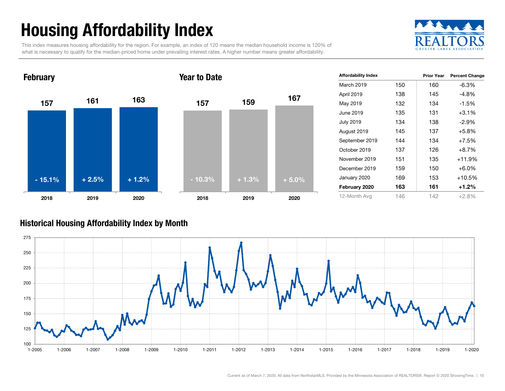## Housing Affordability Index

This index measures housing affordability for the region. For example, an index of 120 means the median household income is 120% of what is necessary to qualify for the median-priced home under prevailing interest rates. A higher number means greater affordability.





| <b>Affordability Index</b> |     | <b>Prior Year</b> | <b>Percent Change</b> |
|----------------------------|-----|-------------------|-----------------------|
| March 2019                 | 150 | 160               | $-6.3%$               |
| April 2019                 | 138 | 145               | $-4.8%$               |
| May 2019                   | 132 | 134               | $-1.5%$               |
| June 2019                  | 135 | 131               | $+3.1%$               |
| <b>July 2019</b>           | 134 | 138               | $-2.9%$               |
| August 2019                | 145 | 137               | $+5.8%$               |
| September 2019             | 144 | 134               | $+7.5%$               |
| October 2019               | 137 | 126               | $+8.7%$               |
| November 2019              | 151 | 135               | $+11.9%$              |
| December 2019              | 159 | 150               | $+6.0%$               |
| January 2020               | 169 | 153               | $+10.5%$              |
| February 2020              | 163 | 161               | $+1.2%$               |
| 12-Month Avg               | 146 | 142               | $+2.8%$               |

#### Historical Housing Affordability Index by Mont h

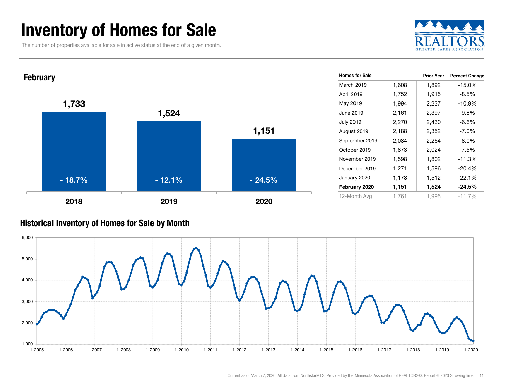### Inventory of Homes for Sale

The number of properties available for sale in active status at the end of a given month.





#### Historical Inventory of Homes for Sale by Month

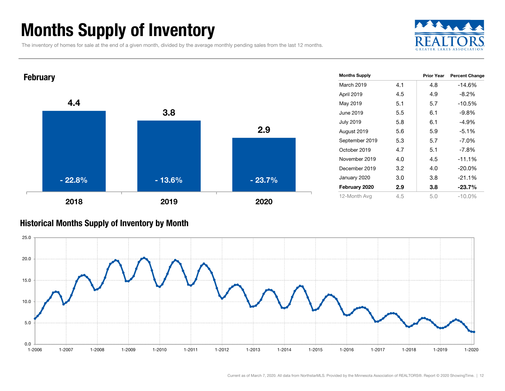### Months Supply of Inventory

The inventory of homes for sale at the end of a given month, divided by the average monthly pending sales from the last 12 months.





#### Historical Months Supply of Inventory by Month